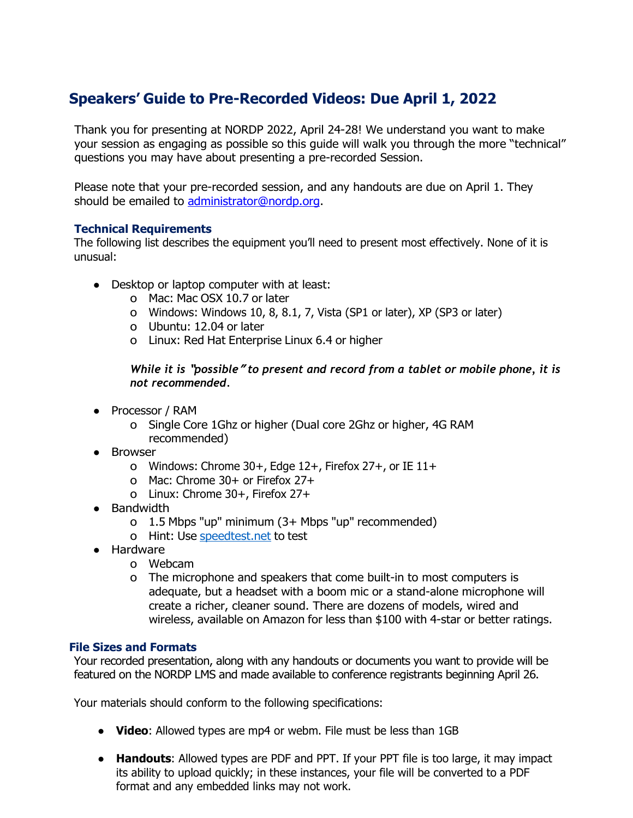## **Speakers' Guide to Pre-Recorded Videos: Due April 1, 2022**

Thank you for presenting at NORDP 2022, April 24-28! We understand you want to make your session as engaging as possible so this guide will walk you through the more "technical" questions you may have about presenting a pre-recorded Session.

Please note that your pre-recorded session, and any handouts are due on April 1. They should be emailed to [administrator@nordp.org.](mailto:administrator@nordp.org)

## **Technical Requirements**

The following list describes the equipment you'll need to present most effectively. None of it is unusual:

- Desktop or laptop computer with at least:
	- o Mac: Mac OSX 10.7 or later
	- o Windows: Windows 10, 8, 8.1, 7, Vista (SP1 or later), XP (SP3 or later)
	- o Ubuntu: 12.04 or later
	- o Linux: Red Hat Enterprise Linux 6.4 or higher

*While it is* **"***possible***"** *to present and record from a tablet or mobile phone, it is not recommended.*

- Processor / RAM
	- o Single Core 1Ghz or higher (Dual core 2Ghz or higher, 4G RAM recommended)
- Browser
	- o Windows: Chrome 30+, Edge 12+, Firefox 27+, or IE 11+
	- o Mac: Chrome 30+ or Firefox 27+
	- o Linux: Chrome 30+, Firefox 27+
- Bandwidth
	- o 1.5 Mbps "up" minimum (3+ Mbps "up" recommended)
	- o Hint: Use speedtest.net to test
- Hardware
	- o Webcam
	- o The microphone and speakers that come built-in to most computers is adequate, but a headset with a boom mic or a stand-alone microphone will create a richer, cleaner sound. There are dozens of models, wired and wireless, available on Amazon for less than \$100 with 4-star or better ratings.

## **File Sizes and Formats**

Your recorded presentation, along with any handouts or documents you want to provide will be featured on the NORDP LMS and made available to conference registrants beginning April 26.

Your materials should conform to the following specifications:

- **● Video**: Allowed types are mp4 or webm. File must be less than 1GB
- **● Handouts**: Allowed types are PDF and PPT. If your PPT file is too large, it may impact its ability to upload quickly; in these instances, your file will be converted to a PDF format and any embedded links may not work.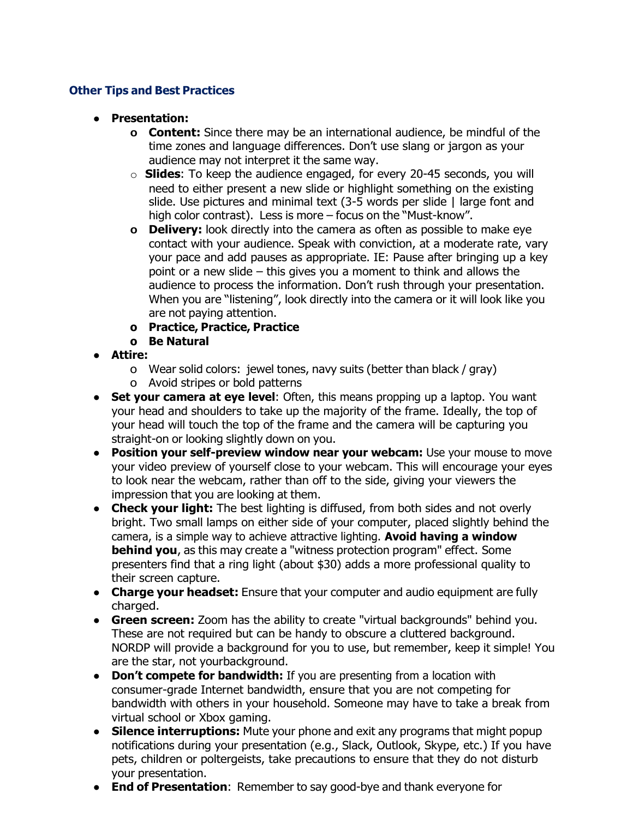## **Other Tips and Best Practices**

- **● Presentation:**
	- **o Content:** Since there may be an international audience, be mindful of the time zones and language differences. Don't use slang or jargon as your audience may not interpret it the same way.
	- o **Slides**: To keep the audience engaged, for every 20-45 seconds, you will need to either present a new slide or highlight something on the existing slide. Use pictures and minimal text (3-5 words per slide | large font and high color contrast). Less is more – focus on the "Must-know".
	- **o Delivery:** look directly into the camera as often as possible to make eye contact with your audience. Speak with conviction, at a moderate rate, vary your pace and add pauses as appropriate. IE: Pause after bringing up a key point or a new slide – this gives you a moment to think and allows the audience to process the information. Don't rush through your presentation. When you are "listening", look directly into the camera or it will look like you are not paying attention.
	- **o Practice, Practice, Practice**
	- **o Be Natural**
- **Attire:**
	- o Wear solid colors: jewel tones, navy suits (better than black / gray)
	- o Avoid stripes or bold patterns
- **Set your camera at eye level**: Often, this means propping up a laptop. You want your head and shoulders to take up the majority of the frame. Ideally, the top of your head will touch the top of the frame and the camera will be capturing you straight-on or looking slightly down on you.
- **Position your self-preview window near your webcam:** Use your mouse to move your video preview of yourself close to your webcam. This will encourage your eyes to look near the webcam, rather than off to the side, giving your viewers the impression that you are looking at them.
- **Check your light:** The best lighting is diffused, from both sides and not overly bright. Two small lamps on either side of your computer, placed slightly behind the camera, is a simple way to achieve attractive lighting. **Avoid having a window behind you**, as this may create a "witness protection program" effect. Some presenters find that a ring light (about \$30) adds a more professional quality to their screen capture.
- **Charge your headset:** Ensure that your computer and audio equipment are fully charged.
- **● Green screen:** Zoom has the ability to create "virtual backgrounds" behind you. These are not required but can be handy to obscure a cluttered background. NORDP will provide a background for you to use, but remember, keep it simple! You are the star, not yourbackground.
- **● Don't compete for bandwidth:** If you are presenting from a location with consumer-grade Internet bandwidth, ensure that you are not competing for bandwidth with others in your household. Someone may have to take a break from virtual school or Xbox gaming.
- **● Silence interruptions:** Mute your phone and exit any programs that might popup notifications during your presentation (e.g., Slack, Outlook, Skype, etc.) If you have pets, children or poltergeists, take precautions to ensure that they do not disturb your presentation.
- **End of Presentation**: Remember to say good-bye and thank everyone for